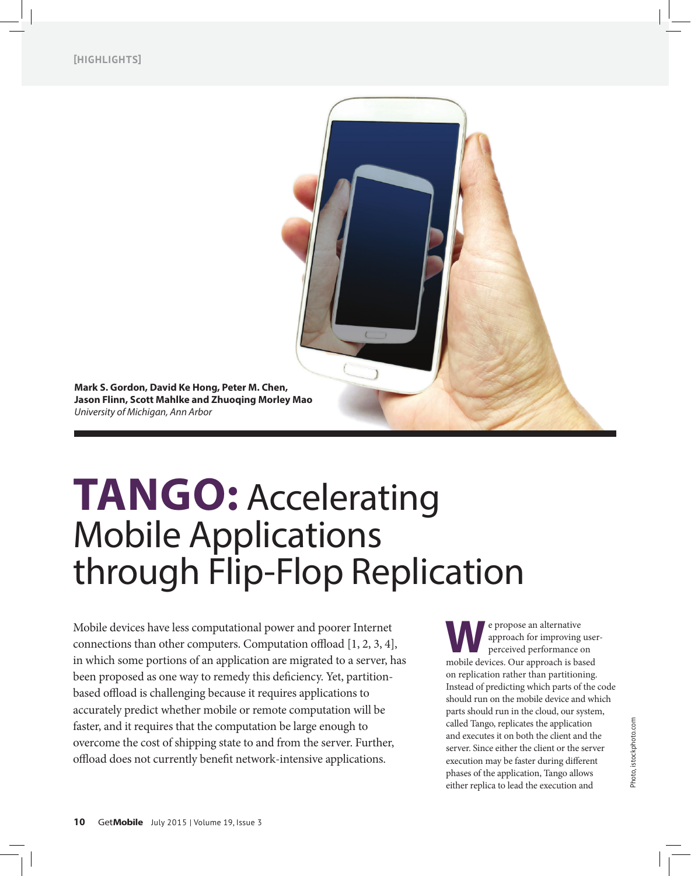

# **Tango:** Accelerating Mobile Applications through Flip-Flop Replication

Mobile devices have less computational power and poorer Internet connections than other computers. Computation offload [1, 2, 3, 4], in which some portions of an application are migrated to a server, has been proposed as one way to remedy this deficiency. Yet, partitionbased offload is challenging because it requires applications to accurately predict whether mobile or remote computation will be faster, and it requires that the computation be large enough to overcome the cost of shipping state to and from the server. Further, offload does not currently benefit network-intensive applications.

**W**e propose an alternative<br>perceived performance of<br>mobile devices. Our approach is be approach for improving userperceived performance on mobile devices. Our approach is based on replication rather than partitioning. Instead of predicting which parts of the code should run on the mobile device and which parts should run in the cloud, our system, called Tango, replicates the application and executes it on both the client and the server. Since either the client or the server execution may be faster during different phases of the application, Tango allows either replica to lead the execution and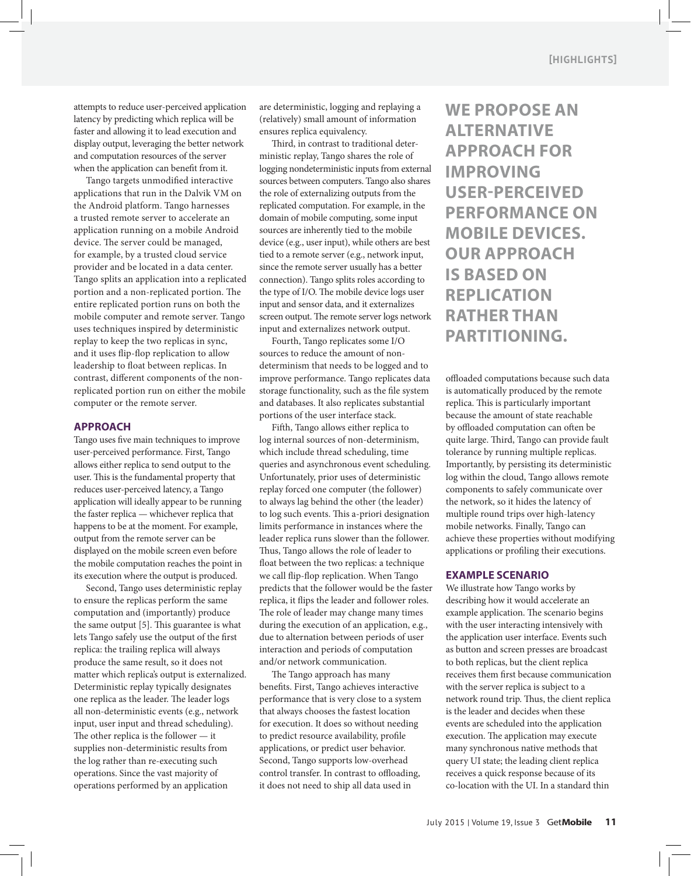attempts to reduce user-perceived application latency by predicting which replica will be faster and allowing it to lead execution and display output, leveraging the better network and computation resources of the server when the application can benefit from it.

Tango targets unmodified interactive applications that run in the Dalvik VM on the Android platform. Tango harnesses a trusted remote server to accelerate an application running on a mobile Android device. The server could be managed, for example, by a trusted cloud service provider and be located in a data center. Tango splits an application into a replicated portion and a non-replicated portion. The entire replicated portion runs on both the mobile computer and remote server. Tango uses techniques inspired by deterministic replay to keep the two replicas in sync, and it uses flip-flop replication to allow leadership to float between replicas. In contrast, different components of the nonreplicated portion run on either the mobile computer or the remote server.

## **Approach**

Tango uses five main techniques to improve user-perceived performance. First, Tango allows either replica to send output to the user. This is the fundamental property that reduces user-perceived latency, a Tango application will ideally appear to be running the faster replica — whichever replica that happens to be at the moment. For example, output from the remote server can be displayed on the mobile screen even before the mobile computation reaches the point in its execution where the output is produced.

Second, Tango uses deterministic replay to ensure the replicas perform the same computation and (importantly) produce the same output [5]. This guarantee is what lets Tango safely use the output of the first replica: the trailing replica will always produce the same result, so it does not matter which replica's output is externalized. Deterministic replay typically designates one replica as the leader. The leader logs all non-deterministic events (e.g., network input, user input and thread scheduling). The other replica is the follower — it supplies non-deterministic results from the log rather than re-executing such operations. Since the vast majority of operations performed by an application

are deterministic, logging and replaying a (relatively) small amount of information ensures replica equivalency.

Third, in contrast to traditional deterministic replay, Tango shares the role of logging nondeterministic inputs from external sources between computers. Tango also shares the role of externalizing outputs from the replicated computation. For example, in the domain of mobile computing, some input sources are inherently tied to the mobile device (e.g., user input), while others are best tied to a remote server (e.g., network input, since the remote server usually has a better connection). Tango splits roles according to the type of I/O. The mobile device logs user input and sensor data, and it externalizes screen output. The remote server logs network input and externalizes network output.

Fourth, Tango replicates some I/O sources to reduce the amount of nondeterminism that needs to be logged and to improve performance. Tango replicates data storage functionality, such as the file system and databases. It also replicates substantial portions of the user interface stack.

Fifth, Tango allows either replica to log internal sources of non-determinism, which include thread scheduling, time queries and asynchronous event scheduling. Unfortunately, prior uses of deterministic replay forced one computer (the follower) to always lag behind the other (the leader) to log such events. This a-priori designation limits performance in instances where the leader replica runs slower than the follower. Thus, Tango allows the role of leader to float between the two replicas: a technique we call flip-flop replication. When Tango predicts that the follower would be the faster replica, it flips the leader and follower roles. The role of leader may change many times during the execution of an application, e.g., due to alternation between periods of user interaction and periods of computation and/or network communication.

The Tango approach has many benefits. First, Tango achieves interactive performance that is very close to a system that always chooses the fastest location for execution. It does so without needing to predict resource availability, profile applications, or predict user behavior. Second, Tango supports low-overhead control transfer. In contrast to offloading, it does not need to ship all data used in

**We propose an alternative approach for improving user-perceived performance on mobile devices. Our approach is based on replication rather than partitioning.**

offloaded computations because such data is automatically produced by the remote replica. This is particularly important because the amount of state reachable by offloaded computation can often be quite large. Third, Tango can provide fault tolerance by running multiple replicas. Importantly, by persisting its deterministic log within the cloud, Tango allows remote components to safely communicate over the network, so it hides the latency of multiple round trips over high-latency mobile networks. Finally, Tango can achieve these properties without modifying applications or profiling their executions.

## **Example Scenario**

We illustrate how Tango works by describing how it would accelerate an example application. The scenario begins with the user interacting intensively with the application user interface. Events such as button and screen presses are broadcast to both replicas, but the client replica receives them first because communication with the server replica is subject to a network round trip. Thus, the client replica is the leader and decides when these events are scheduled into the application execution. The application may execute many synchronous native methods that query UI state; the leading client replica receives a quick response because of its co-location with the UI. In a standard thin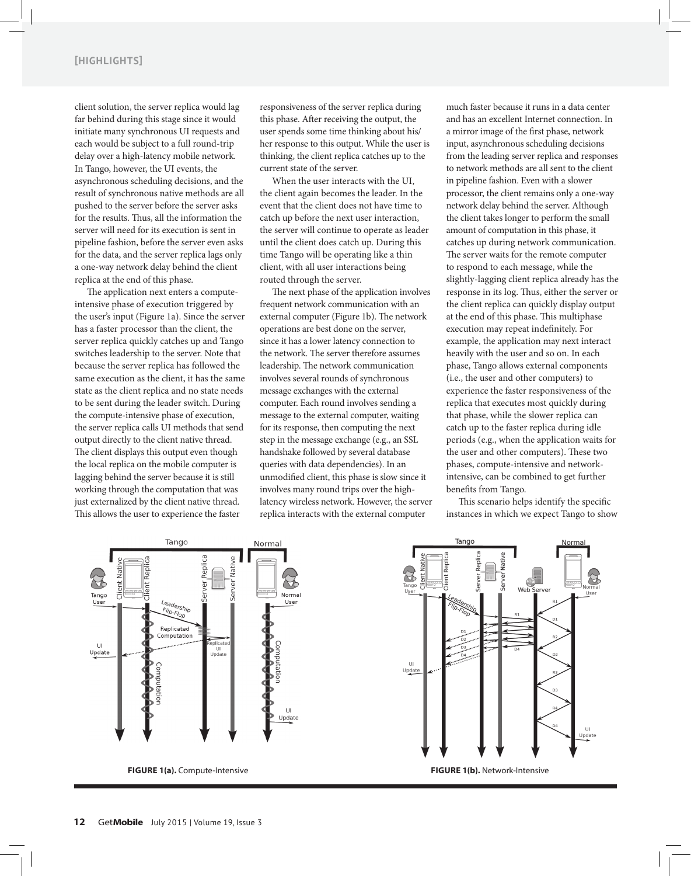client solution, the server replica would lag far behind during this stage since it would initiate many synchronous UI requests and each would be subject to a full round-trip delay over a high-latency mobile network. In Tango, however, the UI events, the asynchronous scheduling decisions, and the result of synchronous native methods are all pushed to the server before the server asks for the results. Thus, all the information the server will need for its execution is sent in pipeline fashion, before the server even asks for the data, and the server replica lags only a one-way network delay behind the client replica at the end of this phase.

The application next enters a computeintensive phase of execution triggered by the user's input (Figure 1a). Since the server has a faster processor than the client, the server replica quickly catches up and Tango switches leadership to the server. Note that because the server replica has followed the same execution as the client, it has the same state as the client replica and no state needs to be sent during the leader switch. During the compute-intensive phase of execution, the server replica calls UI methods that send output directly to the client native thread. The client displays this output even though the local replica on the mobile computer is lagging behind the server because it is still working through the computation that was just externalized by the client native thread. This allows the user to experience the faster

responsiveness of the server replica during this phase. After receiving the output, the user spends some time thinking about his/ her response to this output. While the user is thinking, the client replica catches up to the current state of the server.

When the user interacts with the UI, the client again becomes the leader. In the event that the client does not have time to catch up before the next user interaction, the server will continue to operate as leader until the client does catch up. During this time Tango will be operating like a thin client, with all user interactions being routed through the server.

The next phase of the application involves frequent network communication with an external computer (Figure 1b). The network operations are best done on the server, since it has a lower latency connection to the network. The server therefore assumes leadership. The network communication involves several rounds of synchronous message exchanges with the external computer. Each round involves sending a message to the external computer, waiting for its response, then computing the next step in the message exchange (e.g., an SSL handshake followed by several database queries with data dependencies). In an unmodified client, this phase is slow since it involves many round trips over the highlatency wireless network. However, the server replica interacts with the external computer

much faster because it runs in a data center and has an excellent Internet connection. In a mirror image of the first phase, network input, asynchronous scheduling decisions from the leading server replica and responses to network methods are all sent to the client in pipeline fashion. Even with a slower processor, the client remains only a one-way network delay behind the server. Although the client takes longer to perform the small amount of computation in this phase, it catches up during network communication. The server waits for the remote computer to respond to each message, while the slightly-lagging client replica already has the response in its log. Thus, either the server or the client replica can quickly display output at the end of this phase. This multiphase execution may repeat indefinitely. For example, the application may next interact heavily with the user and so on. In each phase, Tango allows external components (i.e., the user and other computers) to experience the faster responsiveness of the replica that executes most quickly during that phase, while the slower replica can catch up to the faster replica during idle periods (e.g., when the application waits for the user and other computers). These two phases, compute-intensive and networkintensive, can be combined to get further benefits from Tango.

This scenario helps identify the specific instances in which we expect Tango to show





**Figure 1(a).** Compute-Intensive **Figure 1(b).** Network-Intensive